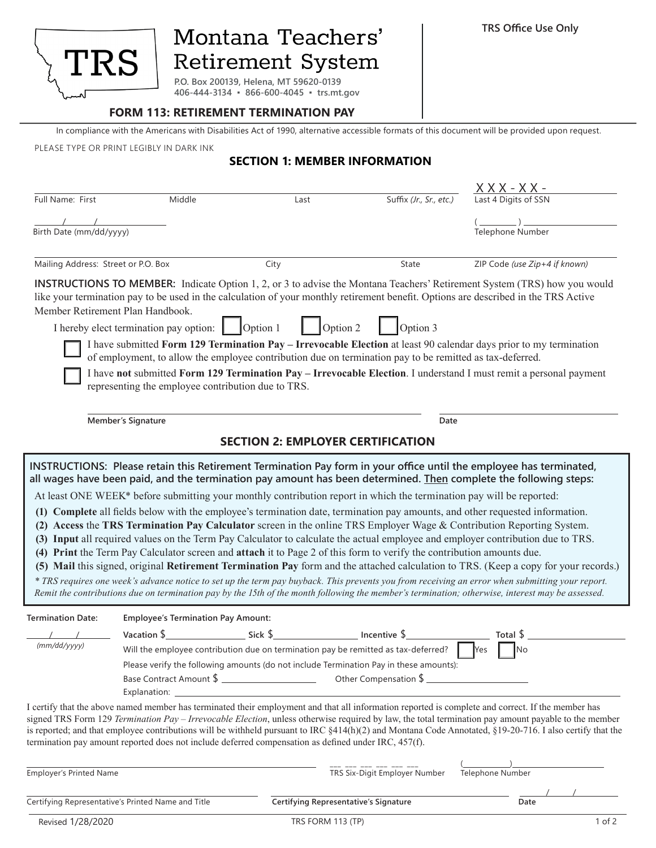

## Montana Teachers' Retirement System

**P.O. Box 200139, Helena, MT 59620-0139 406-444-3134 ▪ 866-600-4045 ▪ trs.mt.gov**

## **FORM 113: RETIREMENT TERMINATION PAY**

In compliance with the Americans with Disabilities Act of 1990, alternative accessible formats of this document will be provided upon request.

PLEASE TYPE OR PRINT LEGIBLY IN DARK INK

## **SECTION 1: MEMBER INFORMATION**

| Full Name: First                                                                                                                                                                                                                                | Middle                                             | Last                                                                                                                                                                                                                                          | Suffix (Jr., Sr., etc.)       | $X$ X X - X X -<br>Last 4 Digits of SSN                                                                                                                                                                                                                                                                                                                                                                                                                                                                                                                                                                                                                                                                                                                                                                                                                                                                                                                                                                                                                                              |
|-------------------------------------------------------------------------------------------------------------------------------------------------------------------------------------------------------------------------------------------------|----------------------------------------------------|-----------------------------------------------------------------------------------------------------------------------------------------------------------------------------------------------------------------------------------------------|-------------------------------|--------------------------------------------------------------------------------------------------------------------------------------------------------------------------------------------------------------------------------------------------------------------------------------------------------------------------------------------------------------------------------------------------------------------------------------------------------------------------------------------------------------------------------------------------------------------------------------------------------------------------------------------------------------------------------------------------------------------------------------------------------------------------------------------------------------------------------------------------------------------------------------------------------------------------------------------------------------------------------------------------------------------------------------------------------------------------------------|
|                                                                                                                                                                                                                                                 |                                                    |                                                                                                                                                                                                                                               |                               |                                                                                                                                                                                                                                                                                                                                                                                                                                                                                                                                                                                                                                                                                                                                                                                                                                                                                                                                                                                                                                                                                      |
| Birth Date (mm/dd/yyyy)                                                                                                                                                                                                                         |                                                    |                                                                                                                                                                                                                                               |                               | Telephone Number                                                                                                                                                                                                                                                                                                                                                                                                                                                                                                                                                                                                                                                                                                                                                                                                                                                                                                                                                                                                                                                                     |
| Mailing Address: Street or P.O. Box                                                                                                                                                                                                             |                                                    | City                                                                                                                                                                                                                                          | State                         | ZIP Code (use Zip+4 if known)                                                                                                                                                                                                                                                                                                                                                                                                                                                                                                                                                                                                                                                                                                                                                                                                                                                                                                                                                                                                                                                        |
| Member Retirement Plan Handbook.                                                                                                                                                                                                                |                                                    |                                                                                                                                                                                                                                               |                               | <b>INSTRUCTIONS TO MEMBER:</b> Indicate Option 1, 2, or 3 to advise the Montana Teachers' Retirement System (TRS) how you would<br>like your termination pay to be used in the calculation of your monthly retirement benefit. Options are described in the TRS Active                                                                                                                                                                                                                                                                                                                                                                                                                                                                                                                                                                                                                                                                                                                                                                                                               |
|                                                                                                                                                                                                                                                 | I hereby elect termination pay option:             | Option 2<br>Option 1                                                                                                                                                                                                                          | Option 3                      |                                                                                                                                                                                                                                                                                                                                                                                                                                                                                                                                                                                                                                                                                                                                                                                                                                                                                                                                                                                                                                                                                      |
|                                                                                                                                                                                                                                                 |                                                    | of employment, to allow the employee contribution due on termination pay to be remitted as tax-deferred.                                                                                                                                      |                               | I have submitted Form 129 Termination Pay – Irrevocable Election at least 90 calendar days prior to my termination                                                                                                                                                                                                                                                                                                                                                                                                                                                                                                                                                                                                                                                                                                                                                                                                                                                                                                                                                                   |
|                                                                                                                                                                                                                                                 | representing the employee contribution due to TRS. |                                                                                                                                                                                                                                               |                               | I have not submitted Form 129 Termination Pay - Irrevocable Election. I understand I must remit a personal payment                                                                                                                                                                                                                                                                                                                                                                                                                                                                                                                                                                                                                                                                                                                                                                                                                                                                                                                                                                   |
|                                                                                                                                                                                                                                                 | <b>Member's Signature</b>                          |                                                                                                                                                                                                                                               | Date                          |                                                                                                                                                                                                                                                                                                                                                                                                                                                                                                                                                                                                                                                                                                                                                                                                                                                                                                                                                                                                                                                                                      |
|                                                                                                                                                                                                                                                 |                                                    | <b>SECTION 2: EMPLOYER CERTIFICATION</b>                                                                                                                                                                                                      |                               |                                                                                                                                                                                                                                                                                                                                                                                                                                                                                                                                                                                                                                                                                                                                                                                                                                                                                                                                                                                                                                                                                      |
|                                                                                                                                                                                                                                                 |                                                    | At least ONE WEEK* before submitting your monthly contribution report in which the termination pay will be reported:<br>(4) Print the Term Pay Calculator screen and attach it to Page 2 of this form to verify the contribution amounts due. |                               | INSTRUCTIONS: Please retain this Retirement Termination Pay form in your office until the employee has terminated,<br>all wages have been paid, and the termination pay amount has been determined. Then complete the following steps:<br>(1) Complete all fields below with the employee's termination date, termination pay amounts, and other requested information.<br>(2) Access the TRS Termination Pay Calculator screen in the online TRS Employer Wage $\&$ Contribution Reporting System.<br>(3) Input all required values on the Term Pay Calculator to calculate the actual employee and employer contribution due to TRS.<br>(5) Mail this signed, original Retirement Termination Pay form and the attached calculation to TRS. (Keep a copy for your records.)<br>* TRS requires one week's advance notice to set up the term pay buyback. This prevents you from receiving an error when submitting your report.<br>Remit the contributions due on termination pay by the 15th of the month following the member's termination; otherwise, interest may be assessed. |
| <b>Termination Date:</b>                                                                                                                                                                                                                        | <b>Employee's Termination Pay Amount:</b>          |                                                                                                                                                                                                                                               |                               |                                                                                                                                                                                                                                                                                                                                                                                                                                                                                                                                                                                                                                                                                                                                                                                                                                                                                                                                                                                                                                                                                      |
| Vacation $\frac{6}{2}$<br>Total \$<br>(mm/dd/yyyy)<br>Will the employee contribution due on termination pay be remitted as tax-deferred?<br>Yes<br>No<br>Please verify the following amounts (do not include Termination Pay in these amounts): |                                                    |                                                                                                                                                                                                                                               |                               |                                                                                                                                                                                                                                                                                                                                                                                                                                                                                                                                                                                                                                                                                                                                                                                                                                                                                                                                                                                                                                                                                      |
|                                                                                                                                                                                                                                                 |                                                    | termination pay amount reported does not include deferred compensation as defined under IRC, 457(f).                                                                                                                                          |                               | I certify that the above named member has terminated their employment and that all information reported is complete and correct. If the member has<br>signed TRS Form 129 Termination Pay - Irrevocable Election, unless otherwise required by law, the total termination pay amount payable to the member<br>is reported; and that employee contributions will be withheld pursuant to IRC §414(h)(2) and Montana Code Annotated, §19-20-716. I also certify that the                                                                                                                                                                                                                                                                                                                                                                                                                                                                                                                                                                                                               |
| Employer's Printed Name                                                                                                                                                                                                                         |                                                    |                                                                                                                                                                                                                                               | TRS Six-Digit Employer Number | Telephone Number                                                                                                                                                                                                                                                                                                                                                                                                                                                                                                                                                                                                                                                                                                                                                                                                                                                                                                                                                                                                                                                                     |
|                                                                                                                                                                                                                                                 | Certifying Representative's Printed Name and Title | Certifying Representative's Signature                                                                                                                                                                                                         |                               | Date                                                                                                                                                                                                                                                                                                                                                                                                                                                                                                                                                                                                                                                                                                                                                                                                                                                                                                                                                                                                                                                                                 |